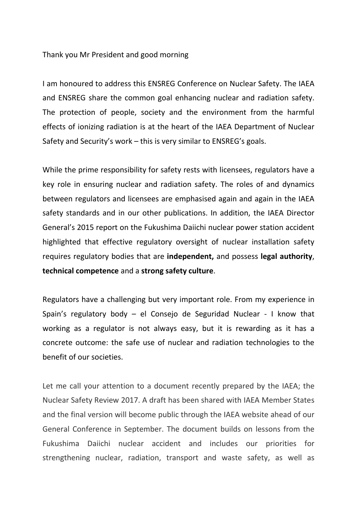## Thank you Mr President and good morning

I am honoured to address this ENSREG Conference on Nuclear Safety. The IAEA and ENSREG share the common goal enhancing nuclear and radiation safety. The protection of people, society and the environment from the harmful effects of ionizing radiation is at the heart of the IAEA Department of Nuclear Safety and Security's work – this is very similar to ENSREG's goals.

While the prime responsibility for safety rests with licensees, regulators have a key role in ensuring nuclear and radiation safety. The roles of and dynamics between regulators and licensees are emphasised again and again in the IAEA safety standards and in our other publications. In addition, the IAEA Director General's 2015 report on the Fukushima Daiichi nuclear power station accident highlighted that effective regulatory oversight of nuclear installation safety requires regulatory bodies that are **independent,** and possess **legal authority**, **technical competence** and a **strong safety culture**.

Regulators have a challenging but very important role. From my experience in Spain's regulatory body – el Consejo de Seguridad Nuclear - I know that working as a regulator is not always easy, but it is rewarding as it has a concrete outcome: the safe use of nuclear and radiation technologies to the benefit of our societies.

Let me call your attention to a document recently prepared by the IAEA; the Nuclear Safety Review 2017. A draft has been shared with IAEA Member States and the final version will become public through the IAEA website ahead of our General Conference in September. The document builds on lessons from the Fukushima Daiichi nuclear accident and includes our priorities for strengthening nuclear, radiation, transport and waste safety, as well as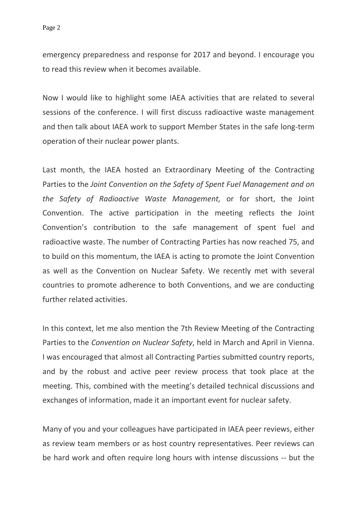emergency preparedness and response for 2017 and beyond. I encourage you to read this review when it becomes available.

Now I would like to highlight some IAEA activities that are related to several sessions of the conference. I will first discuss radioactive waste management and then talk about IAEA work to support Member States in the safe long-term operation of their nuclear power plants.

Last month, the IAEA hosted an Extraordinary Meeting of the Contracting Parties to the *Joint Convention on the Safety of Spent Fuel Management and on the Safety of Radioactive Waste Management,* or for short, the Joint Convention. The active participation in the meeting reflects the Joint Convention's contribution to the safe management of spent fuel and radioactive waste. The number of Contracting Parties has now reached 75, and to build on this momentum, the IAEA is acting to promote the Joint Convention as well as the Convention on Nuclear Safety. We recently met with several countries to promote adherence to both Conventions, and we are conducting further related activities.

In this context, let me also mention the 7th Review Meeting of the Contracting Parties to the *Convention on Nuclear Safety*, held in March and April in Vienna. I was encouraged that almost all Contracting Parties submitted country reports, and by the robust and active peer review process that took place at the meeting. This, combined with the meeting's detailed technical discussions and exchanges of information, made it an important event for nuclear safety.

Many of you and your colleagues have participated in IAEA peer reviews, either as review team members or as host country representatives. Peer reviews can be hard work and often require long hours with intense discussions -- but the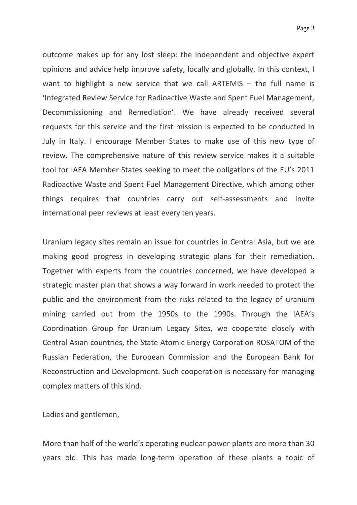Page 3

outcome makes up for any lost sleep: the independent and objective expert opinions and advice help improve safety, locally and globally. In this context, I want to highlight a new service that we call ARTEMIS – the full name is 'Integrated Review Service for Radioactive Waste and Spent Fuel Management, Decommissioning and Remediation'. We have already received several requests for this service and the first mission is expected to be conducted in July in Italy. I encourage Member States to make use of this new type of review. The comprehensive nature of this review service makes it a suitable tool for IAEA Member States seeking to meet the obligations of the EU's 2011 Radioactive Waste and Spent Fuel Management Directive, which among other things requires that countries carry out self-assessments and invite international peer reviews at least every ten years.

Uranium legacy sites remain an issue for countries in Central Asia, but we are making good progress in developing strategic plans for their remediation. Together with experts from the countries concerned, we have developed a strategic master plan that shows a way forward in work needed to protect the public and the environment from the risks related to the legacy of uranium mining carried out from the 1950s to the 1990s. Through the IAEA's Coordination Group for Uranium Legacy Sites, we cooperate closely with Central Asian countries, the State Atomic Energy Corporation ROSATOM of the Russian Federation, the European Commission and the European Bank for Reconstruction and Development. Such cooperation is necessary for managing complex matters of this kind.

Ladies and gentlemen,

More than half of the world's operating nuclear power plants are more than 30 years old. This has made long-term operation of these plants a topic of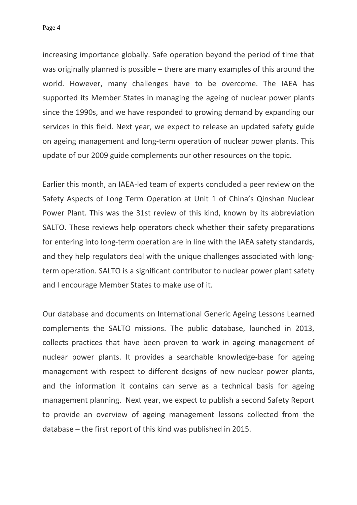Page 4

increasing importance globally. Safe operation beyond the period of time that was originally planned is possible – there are many examples of this around the world. However, many challenges have to be overcome. The IAEA has supported its Member States in managing the ageing of nuclear power plants since the 1990s, and we have responded to growing demand by expanding our services in this field. Next year, we expect to release an updated safety guide on ageing management and long-term operation of nuclear power plants. This update of our 2009 guide complements our other resources on the topic.

Earlier this month, an IAEA-led team of experts concluded a peer review on the Safety Aspects of Long Term Operation at Unit 1 of China's Qinshan Nuclear Power Plant. This was the 31st review of this kind, known by its abbreviation SALTO. These reviews help operators check whether their safety preparations for entering into long-term operation are in line with the IAEA safety standards, and they help regulators deal with the unique challenges associated with longterm operation. SALTO is a significant contributor to nuclear power plant safety and I encourage Member States to make use of it.

Our database and documents on International Generic Ageing Lessons Learned complements the SALTO missions. The public database, launched in 2013, collects practices that have been proven to work in ageing management of nuclear power plants. It provides a searchable knowledge-base for ageing management with respect to different designs of new nuclear power plants, and the information it contains can serve as a technical basis for ageing management planning. Next year, we expect to publish a second Safety Report to provide an overview of ageing management lessons collected from the database – the first report of this kind was published in 2015.